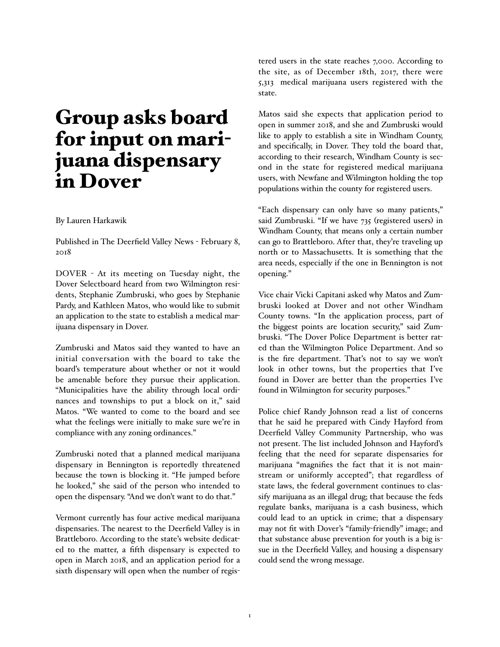## Group asks board for input on marijuana dispensary in Dover

## By Lauren Harkawik

Published in The Deerfield Valley News - February 8, 2018

DOVER - At its meeting on Tuesday night, the Dover Selectboard heard from two Wilmington residents, Stephanie Zumbruski, who goes by Stephanie Pardy, and Kathleen Matos, who would like to submit an application to the state to establish a medical marijuana dispensary in Dover.

Zumbruski and Matos said they wanted to have an initial conversation with the board to take the board's temperature about whether or not it would be amenable before they pursue their application. "Municipalities have the ability through local ordinances and townships to put a block on it," said Matos. "We wanted to come to the board and see what the feelings were initially to make sure we're in compliance with any zoning ordinances."

Zumbruski noted that a planned medical marijuana dispensary in Bennington is reportedly threatened because the town is blocking it. "He jumped before he looked," she said of the person who intended to open the dispensary. "And we don't want to do that."

Vermont currently has four active medical marijuana dispensaries. The nearest to the Deerfield Valley is in Brattleboro. According to the state's website dedicated to the matter, a fifth dispensary is expected to open in March 2018, and an application period for a sixth dispensary will open when the number of registered users in the state reaches 7,000. According to the site, as of December 18th, 2017, there were 5,313 medical marijuana users registered with the state.

Matos said she expects that application period to open in summer 2018, and she and Zumbruski would like to apply to establish a site in Windham County, and specifically, in Dover. They told the board that, according to their research, Windham County is second in the state for registered medical marijuana users, with Newfane and Wilmington holding the top populations within the county for registered users.

"Each dispensary can only have so many patients," said Zumbruski. "If we have 735 (registered users) in Windham County, that means only a certain number can go to Brattleboro. After that, they're traveling up north or to Massachusetts. It is something that the area needs, especially if the one in Bennington is not opening."

Vice chair Vicki Capitani asked why Matos and Zumbruski looked at Dover and not other Windham County towns. "In the application process, part of the biggest points are location security," said Zumbruski. "The Dover Police Department is better rated than the Wilmington Police Department. And so is the fire department. That's not to say we won't look in other towns, but the properties that I've found in Dover are better than the properties I've found in Wilmington for security purposes."

Police chief Randy Johnson read a list of concerns that he said he prepared with Cindy Hayford from Deerfield Valley Community Partnership, who was not present. The list included Johnson and Hayford's feeling that the need for separate dispensaries for marijuana "magnifies the fact that it is not mainstream or uniformly accepted"; that regardless of state laws, the federal government continues to classify marijuana as an illegal drug; that because the feds regulate banks, marijuana is a cash business, which could lead to an uptick in crime; that a dispensary may not fit with Dover's "family-friendly" image; and that substance abuse prevention for youth is a big issue in the Deerfield Valley, and housing a dispensary could send the wrong message.